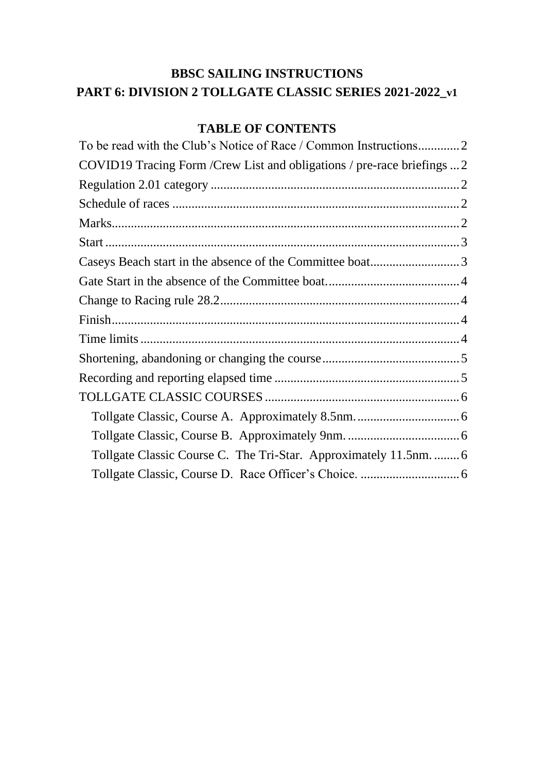# **BBSC SAILING INSTRUCTIONS PART 6: DIVISION 2 TOLLGATE CLASSIC SERIES 2021-2022\_v1**

# **TABLE OF CONTENTS**

| To be read with the Club's Notice of Race / Common Instructions2         |
|--------------------------------------------------------------------------|
| COVID19 Tracing Form / Crew List and obligations / pre-race briefings  2 |
|                                                                          |
|                                                                          |
|                                                                          |
|                                                                          |
|                                                                          |
|                                                                          |
|                                                                          |
|                                                                          |
|                                                                          |
|                                                                          |
|                                                                          |
|                                                                          |
|                                                                          |
|                                                                          |
| Tollgate Classic Course C. The Tri-Star. Approximately 11.5nm.  6        |
|                                                                          |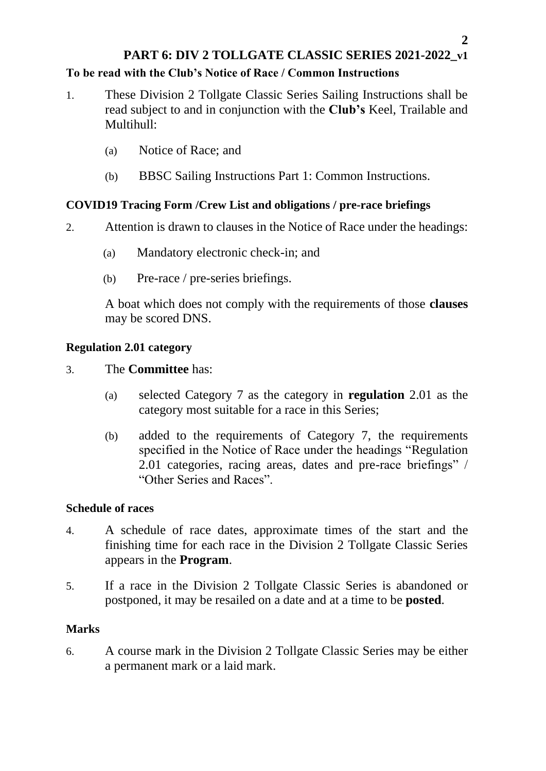# **PART 6: DIV 2 TOLLGATE CLASSIC SERIES 2021-2022\_v1 To be read with the Club's Notice of Race / Common Instructions**

- <span id="page-1-0"></span>1. These Division 2 Tollgate Classic Series Sailing Instructions shall be read subject to and in conjunction with the **Club's** Keel, Trailable and Multihull:
	- (a) Notice of Race; and
	- (b) BBSC Sailing Instructions Part 1: Common Instructions.

# <span id="page-1-1"></span>**COVID19 Tracing Form /Crew List and obligations / pre-race briefings**

- 2. Attention is drawn to clauses in the Notice of Race under the headings:
	- (a) Mandatory electronic check-in; and
	- (b) Pre-race / pre-series briefings.

A boat which does not comply with the requirements of those **clauses** may be scored DNS.

# <span id="page-1-2"></span>**Regulation 2.01 category**

- 3. The **Committee** has:
	- (a) selected Category 7 as the category in **regulation** 2.01 as the category most suitable for a race in this Series;
	- (b) added to the requirements of Category 7, the requirements specified in the Notice of Race under the headings "Regulation 2.01 categories, racing areas, dates and pre-race briefings" / "Other Series and Races".

## <span id="page-1-3"></span>**Schedule of races**

- 4. A schedule of race dates, approximate times of the start and the finishing time for each race in the Division 2 Tollgate Classic Series appears in the **Program**.
- 5. If a race in the Division 2 Tollgate Classic Series is abandoned or postponed, it may be resailed on a date and at a time to be **posted**.

## <span id="page-1-4"></span>**Marks**

6. A course mark in the Division 2 Tollgate Classic Series may be either a permanent mark or a laid mark.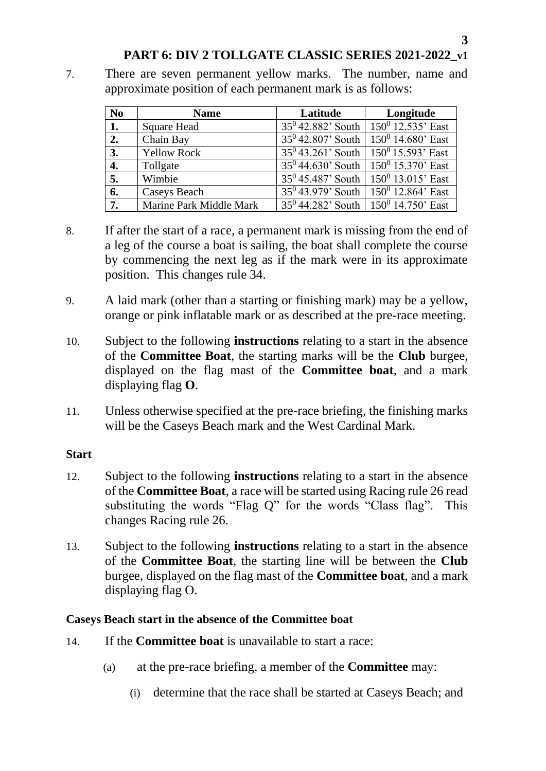### **PART 6: DIV 2 TOLLGATE CLASSIC SERIES 2021-2022\_v1**

7. There are seven permanent yellow marks. The number, name and approximate position of each permanent mark is as follows:

| N <sub>0</sub>   | <b>Name</b>             | Latitude | Longitude                                   |
|------------------|-------------------------|----------|---------------------------------------------|
| 1.               | <b>Square Head</b>      |          | $35^0$ 42.882' South   $150^0$ 12.535' East |
| 2.               | Chain Bay               |          | $35^0$ 42.807' South   $150^0$ 14.680' East |
| 3.               | <b>Yellow Rock</b>      |          | $35^0$ 43.261' South   $150^0$ 15.593' East |
| $\overline{4}$ . | Tollgate                |          | $35^0$ 44.630' South   $150^0$ 15.370' East |
| 5.               | Wimbie                  |          | $35^0$ 45.487' South   $150^0$ 13.015' East |
| 6.               | Caseys Beach            |          | $35^0$ 43.979' South   $150^0$ 12.864' East |
| 7.               | Marine Park Middle Mark |          | $35^0$ 44.282' South   $150^0$ 14.750' East |

- 8. If after the start of a race, a permanent mark is missing from the end of a leg of the course a boat is sailing, the boat shall complete the course by commencing the next leg as if the mark were in its approximate position. This changes rule 34.
- 9. A laid mark (other than a starting or finishing mark) may be a yellow, orange or pink inflatable mark or as described at the pre-race meeting.
- 10. Subject to the following **instructions** relating to a start in the absence of the **Committee Boat**, the starting marks will be the **Club** burgee, displayed on the flag mast of the **Committee boat**, and a mark displaying flag **O**.
- 11. Unless otherwise specified at the pre-race briefing, the finishing marks will be the Caseys Beach mark and the West Cardinal Mark.

#### <span id="page-2-0"></span>**Start**

- 12. Subject to the following **instructions** relating to a start in the absence of the **Committee Boat**, a race will be started using Racing rule 26 read substituting the words "Flag Q" for the words "Class flag". This changes Racing rule 26.
- 13. Subject to the following **instructions** relating to a start in the absence of the **Committee Boat**, the starting line will be between the **Club** burgee, displayed on the flag mast of the **Committee boat**, and a mark displaying flag O.

#### <span id="page-2-1"></span>**Caseys Beach start in the absence of the Committee boat**

- 14. If the **Committee boat** is unavailable to start a race:
	- (a) at the pre-race briefing, a member of the **Committee** may:
		- (i) determine that the race shall be started at Caseys Beach; and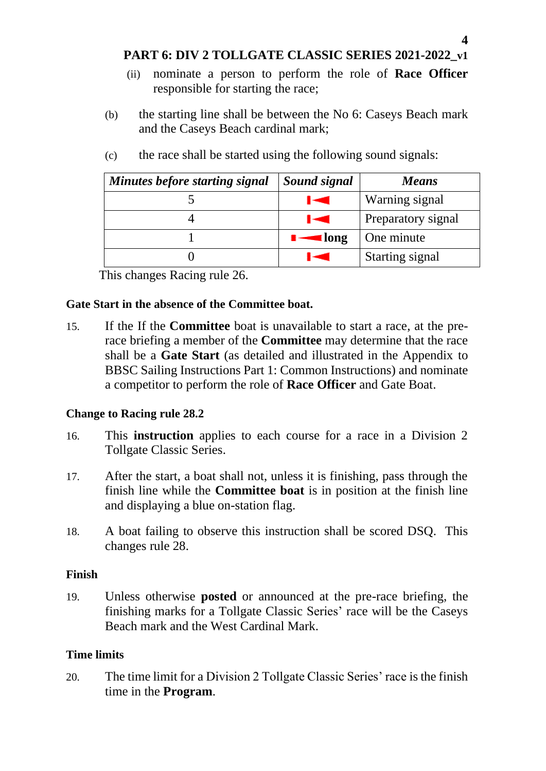**PART 6: DIV 2 TOLLGATE CLASSIC SERIES 2021-2022\_v1**

- (ii) nominate a person to perform the role of **Race Officer** responsible for starting the race;
- (b) the starting line shall be between the No 6: Caseys Beach mark and the Caseys Beach cardinal mark;

| Minutes before starting signal | Sound signal        | <b>Means</b>       |
|--------------------------------|---------------------|--------------------|
|                                | E                   | Warning signal     |
|                                | Iю                  | Preparatory signal |
|                                | $\blacksquare$ long | One minute         |
|                                | الأناب              | Starting signal    |

(c) the race shall be started using the following sound signals:

This changes Racing rule 26.

#### <span id="page-3-0"></span>**Gate Start in the absence of the Committee boat.**

15. If the If the **Committee** boat is unavailable to start a race, at the prerace briefing a member of the **Committee** may determine that the race shall be a **Gate Start** (as detailed and illustrated in the Appendix to BBSC Sailing Instructions Part 1: Common Instructions) and nominate a competitor to perform the role of **Race Officer** and Gate Boat.

### <span id="page-3-1"></span>**Change to Racing rule 28.2**

- 16. This **instruction** applies to each course for a race in a Division 2 Tollgate Classic Series.
- 17. After the start, a boat shall not, unless it is finishing, pass through the finish line while the **Committee boat** is in position at the finish line and displaying a blue on-station flag.
- 18. A boat failing to observe this instruction shall be scored DSQ. This changes rule 28.

### <span id="page-3-2"></span>**Finish**

19. Unless otherwise **posted** or announced at the pre-race briefing, the finishing marks for a Tollgate Classic Series' race will be the Caseys Beach mark and the West Cardinal Mark.

### <span id="page-3-3"></span>**Time limits**

20. The time limit for a Division 2 Tollgate Classic Series' race is the finish time in the **Program**.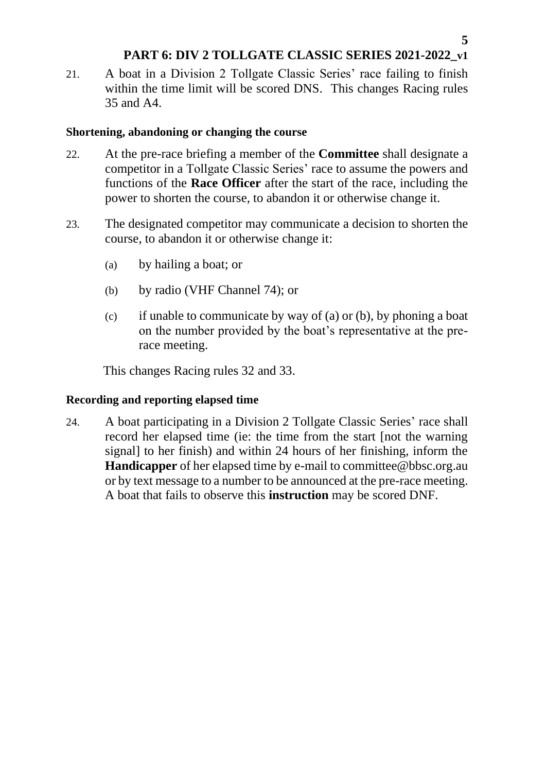## **PART 6: DIV 2 TOLLGATE CLASSIC SERIES 2021-2022\_v1**

21. A boat in a Division 2 Tollgate Classic Series' race failing to finish within the time limit will be scored DNS. This changes Racing rules 35 and A4.

#### <span id="page-4-0"></span>**Shortening, abandoning or changing the course**

- 22. At the pre-race briefing a member of the **Committee** shall designate a competitor in a Tollgate Classic Series' race to assume the powers and functions of the **Race Officer** after the start of the race, including the power to shorten the course, to abandon it or otherwise change it.
- 23. The designated competitor may communicate a decision to shorten the course, to abandon it or otherwise change it:
	- (a) by hailing a boat; or
	- (b) by radio (VHF Channel 74); or
	- (c) if unable to communicate by way of (a) or (b), by phoning a boat on the number provided by the boat's representative at the prerace meeting.

This changes Racing rules 32 and 33.

### <span id="page-4-1"></span>**Recording and reporting elapsed time**

24. A boat participating in a Division 2 Tollgate Classic Series' race shall record her elapsed time (ie: the time from the start [not the warning signal] to her finish) and within 24 hours of her finishing, inform the **Handicapper** of her elapsed time by e-mail to committee@bbsc.org.au or by text message to a number to be announced at the pre-race meeting. A boat that fails to observe this **instruction** may be scored DNF.